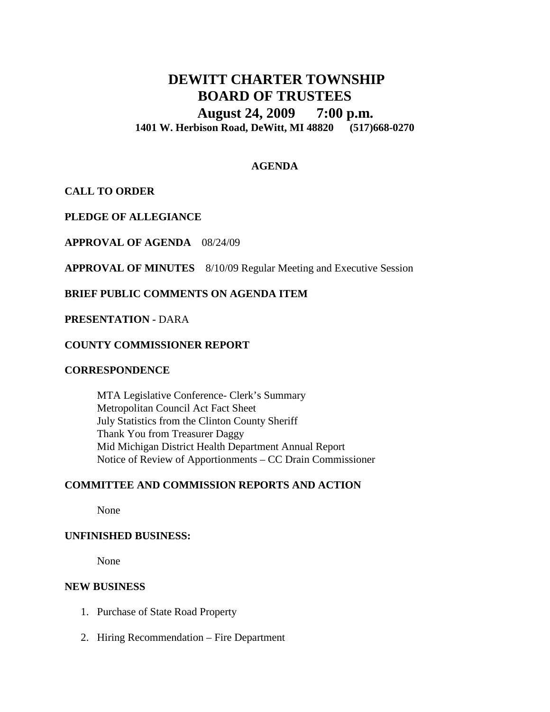# **DEWITT CHARTER TOWNSHIP BOARD OF TRUSTEES August 24, 2009 7:00 p.m. 1401 W. Herbison Road, DeWitt, MI 48820 (517)668-0270**

# **AGENDA**

**CALL TO ORDER**

**PLEDGE OF ALLEGIANCE**

**APPROVAL OF AGENDA** 08/24/09

**APPROVAL OF MINUTES** 8/10/09 Regular Meeting and Executive Session

# **BRIEF PUBLIC COMMENTS ON AGENDA ITEM**

#### **PRESENTATION -** DARA

#### **COUNTY COMMISSIONER REPORT**

#### **CORRESPONDENCE**

MTA Legislative Conference- Clerk's Summary Metropolitan Council Act Fact Sheet July Statistics from the Clinton County Sheriff Thank You from Treasurer Daggy Mid Michigan District Health Department Annual Report Notice of Review of Apportionments – CC Drain Commissioner

# **COMMITTEE AND COMMISSION REPORTS AND ACTION**

None

### **UNFINISHED BUSINESS:**

None

#### **NEW BUSINESS**

- 1. Purchase of State Road Property
- 2. Hiring Recommendation Fire Department